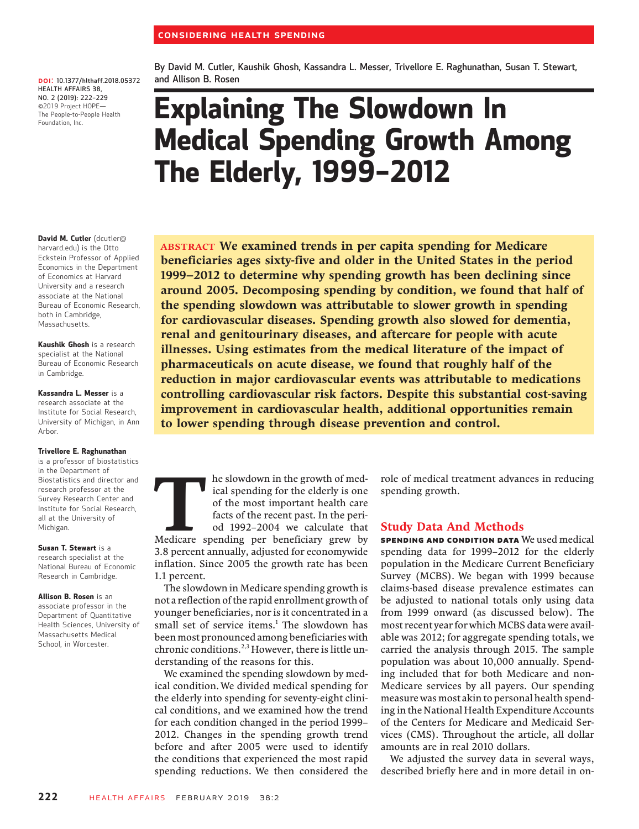#### Considering Health Spending

DOI: 10.1377/hlthaff.2018.05372 HEALTH AFFAIRS 38, <mark>DOI</mark>: 10.1377/hlthaff.2<br>HEALTH AFFAIRS 38,<br>NO. 2 (2019): 222-229 NO. 2 (2019): 222-229<br>©2019 Project HOPE— The People-to-People Health Foundation, Inc.

## By David M. Cutler, Kaushik Ghosh, Kassandra L. Messer, Trivellore E. Raghunathan, Susan T. Stewart, and Allison B. Rosen

# Explaining The Slowdown In Medical Spending Growth Among Explaining The Slowdov<br>Medical Spending Grow<br>The Elderly, 1999–2012

#### David M. Cutler (dcutler@

harvard.edu) is the Otto Eckstein Professor of Applied Economics in the Department of Economics at Harvard University and a research associate at the National Bureau of Economic Research, both in Cambridge, Massachusetts.

Kaushik Ghosh is a research specialist at the National Bureau of Economic Research in Cambridge.

#### Kassandra L. Messer is a

research associate at the Institute for Social Research, University of Michigan, in Ann Arbor.

#### Trivellore E. Raghunathan

is a professor of biostatistics in the Department of Biostatistics and director and research professor at the Survey Research Center and Institute for Social Research, all at the University of Michigan.

#### Susan T. Stewart is a

research specialist at the National Bureau of Economic Research in Cambridge.

#### Allison B. Rosen is an associate professor in the Department of Quantitative Health Sciences, University of Massachusetts Medical School, in Worcester.

ABSTRACT We examined trends in per capita spending for Medicare beneficiaries ages sixty-five and older in the United States in the period 1999–2012 to determine why spending growth has been declining since around 2005. Decomposing spending by condition, we found that half of the spending slowdown was attributable to slower growth in spending for cardiovascular diseases. Spending growth also slowed for dementia, renal and genitourinary diseases, and aftercare for people with acute illnesses. Using estimates from the medical literature of the impact of pharmaceuticals on acute disease, we found that roughly half of the reduction in major cardiovascular events was attributable to medications controlling cardiovascular risk factors. Despite this substantial cost-saving improvement in cardiovascular health, additional opportunities remain to lower spending through disease prevention and control.

The slowdown in the growth of medical spending for the elderly is one of the most important health care facts of the recent past. In the period 1992–2004 we calculate that Medicare spending per beneficiary grew by ical spending for the elderly is one of the most important health care facts of the recent past. In the period 1992–2004 we calculate that 3.8 percent annually, adjusted for economywide inflation. Since 2005 the growth rate has been 1.1 percent.

The slowdown in Medicare spending growth is not a reflection of the rapid enrollment growth of younger beneficiaries, nor is it concentrated in a small set of service items.<sup>1</sup> The slowdown has been most pronounced among beneficiaries with chronic conditions.2,3 However, there is little understanding of the reasons for this.

We examined the spending slowdown by medical condition. We divided medical spending for the elderly into spending for seventy-eight clinical conditions, and we examined how the trend for each condition changed in the period 1999– 2012. Changes in the spending growth trend before and after 2005 were used to identify the conditions that experienced the most rapid spending reductions. We then considered the role of medical treatment advances in reducing spending growth.

#### Study Data And Methods

Spending And Condition Data We used medical spending data for 1999–2012 for the elderly population in the Medicare Current Beneficiary Survey (MCBS). We began with 1999 because claims-based disease prevalence estimates can be adjusted to national totals only using data from 1999 onward (as discussed below). The most recent year for which MCBS data were available was 2012; for aggregate spending totals, we carried the analysis through 2015. The sample population was about 10,000 annually. Spending included that for both Medicare and non-Medicare services by all payers. Our spending measure was most akin to personal health spending in the National Health Expenditure Accounts of the Centers for Medicare and Medicaid Services (CMS). Throughout the article, all dollar amounts are in real 2010 dollars.

We adjusted the survey data in several ways, described briefly here and in more detail in on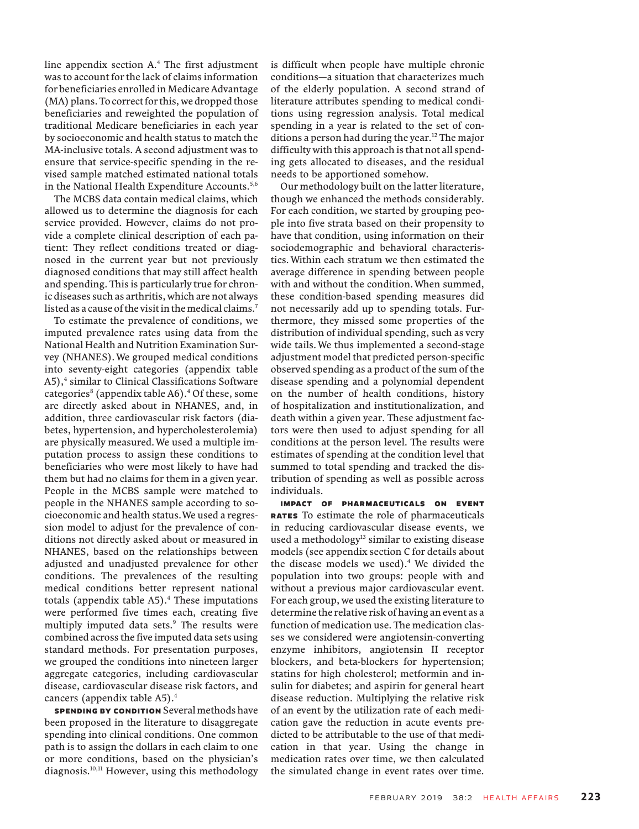line appendix section  $A<sup>4</sup>$ . The first adjustment was to account for the lack of claims information for beneficiaries enrolled in Medicare Advantage (MA) plans. To correct for this, we dropped those beneficiaries and reweighted the population of traditional Medicare beneficiaries in each year by socioeconomic and health status to match the MA-inclusive totals. A second adjustment was to ensure that service-specific spending in the revised sample matched estimated national totals in the National Health Expenditure Accounts.<sup>5,6</sup>

The MCBS data contain medical claims, which allowed us to determine the diagnosis for each service provided. However, claims do not provide a complete clinical description of each patient: They reflect conditions treated or diagnosed in the current year but not previously diagnosed conditions that may still affect health and spending. This is particularly true for chronic diseases such as arthritis, which are not always listed as a cause of the visit in the medical claims.7

To estimate the prevalence of conditions, we imputed prevalence rates using data from the National Health and Nutrition Examination Survey (NHANES). We grouped medical conditions into seventy-eight categories (appendix table A5),<sup>4</sup> similar to Clinical Classifications Software categories<sup>8</sup> (appendix table A6).<sup>4</sup> Of these, some are directly asked about in NHANES, and, in addition, three cardiovascular risk factors (diabetes, hypertension, and hypercholesterolemia) are physically measured.We used a multiple imputation process to assign these conditions to beneficiaries who were most likely to have had them but had no claims for them in a given year. People in the MCBS sample were matched to people in the NHANES sample according to socioeconomic and health status.We used a regression model to adjust for the prevalence of conditions not directly asked about or measured in NHANES, based on the relationships between adjusted and unadjusted prevalence for other conditions. The prevalences of the resulting medical conditions better represent national totals (appendix table  $A5$ ).<sup>4</sup> These imputations were performed five times each, creating five multiply imputed data sets.<sup>9</sup> The results were combined across the five imputed data sets using standard methods. For presentation purposes, we grouped the conditions into nineteen larger aggregate categories, including cardiovascular disease, cardiovascular disease risk factors, and cancers (appendix table A5).<sup>4</sup>

**SPENDING BY CONDITION** Several methods have been proposed in the literature to disaggregate spending into clinical conditions. One common path is to assign the dollars in each claim to one or more conditions, based on the physician's diagnosis.10,11 However, using this methodology

is difficult when people have multiple chronic conditions—a situation that characterizes much of the elderly population. A second strand of literature attributes spending to medical conditions using regression analysis. Total medical spending in a year is related to the set of conditions a person had during the year.12 The major difficulty with this approach is that not all spending gets allocated to diseases, and the residual needs to be apportioned somehow.

Our methodology built on the latter literature, though we enhanced the methods considerably. For each condition, we started by grouping people into five strata based on their propensity to have that condition, using information on their sociodemographic and behavioral characteristics. Within each stratum we then estimated the average difference in spending between people with and without the condition.When summed, these condition-based spending measures did not necessarily add up to spending totals. Furthermore, they missed some properties of the distribution of individual spending, such as very wide tails. We thus implemented a second-stage adjustment model that predicted person-specific observed spending as a product of the sum of the disease spending and a polynomial dependent on the number of health conditions, history of hospitalization and institutionalization, and death within a given year. These adjustment factors were then used to adjust spending for all conditions at the person level. The results were estimates of spending at the condition level that summed to total spending and tracked the distribution of spending as well as possible across individuals.

Impact Of Pharmaceuticals On Event Rates To estimate the role of pharmaceuticals in reducing cardiovascular disease events, we used a methodology<sup>13</sup> similar to existing disease models (see appendix section C for details about the disease models we used). $4$  We divided the population into two groups: people with and without a previous major cardiovascular event. For each group, we used the existing literature to determine the relative risk of having an event as a function of medication use. The medication classes we considered were angiotensin-converting enzyme inhibitors, angiotensin II receptor blockers, and beta-blockers for hypertension; statins for high cholesterol; metformin and insulin for diabetes; and aspirin for general heart disease reduction. Multiplying the relative risk of an event by the utilization rate of each medication gave the reduction in acute events predicted to be attributable to the use of that medication in that year. Using the change in medication rates over time, we then calculated the simulated change in event rates over time.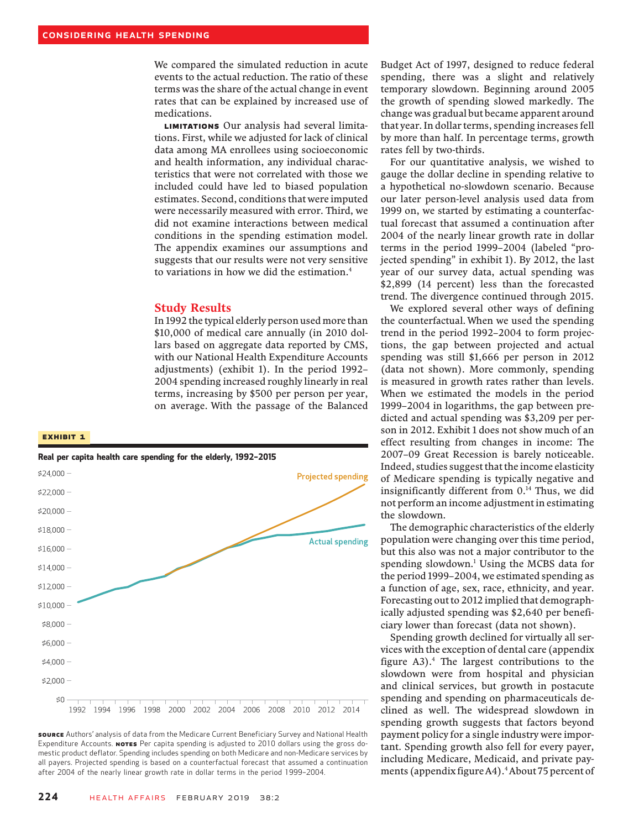We compared the simulated reduction in acute events to the actual reduction. The ratio of these terms was the share of the actual change in event rates that can be explained by increased use of medications.

LIMITATIONS Our analysis had several limitations. First, while we adjusted for lack of clinical data among MA enrollees using socioeconomic and health information, any individual characteristics that were not correlated with those we included could have led to biased population estimates. Second, conditions that were imputed were necessarily measured with error. Third, we did not examine interactions between medical conditions in the spending estimation model. The appendix examines our assumptions and suggests that our results were not very sensitive to variations in how we did the estimation.4

#### Study Results

In 1992 the typical elderly person used more than \$10,000 of medical care annually (in 2010 dollars based on aggregate data reported by CMS, with our National Health Expenditure Accounts adjustments) (exhibit 1). In the period 1992– 2004 spending increased roughly linearly in real terms, increasing by \$500 per person per year, on average. With the passage of the Balanced

#### Exhibit 1



source Authors' analysis of data from the Medicare Current Beneficiary Survey and National Health Expenditure Accounts. NoTES Per capita spending is adjusted to 2010 dollars using the gross domestic product deflator. Spending includes spending on both Medicare and non-Medicare services by all payers. Projected spending is based on a counterfactual forecast that assumed a continuation after 2004 of the nearly linear growth rate in dollar terms in the period 1999–2004.

Budget Act of 1997, designed to reduce federal spending, there was a slight and relatively temporary slowdown. Beginning around 2005 the growth of spending slowed markedly. The change was gradual but became apparent around that year. In dollar terms, spending increases fell by more than half. In percentage terms, growth rates fell by two-thirds.

For our quantitative analysis, we wished to gauge the dollar decline in spending relative to a hypothetical no-slowdown scenario. Because our later person-level analysis used data from 1999 on, we started by estimating a counterfactual forecast that assumed a continuation after 2004 of the nearly linear growth rate in dollar terms in the period 1999–2004 (labeled "projected spending" in exhibit 1). By 2012, the last year of our survey data, actual spending was \$2,899 (14 percent) less than the forecasted trend. The divergence continued through 2015.

We explored several other ways of defining the counterfactual. When we used the spending trend in the period 1992–2004 to form projections, the gap between projected and actual spending was still \$1,666 per person in 2012 (data not shown). More commonly, spending is measured in growth rates rather than levels. When we estimated the models in the period 1999–2004 in logarithms, the gap between predicted and actual spending was \$3,209 per person in 2012. Exhibit 1 does not show much of an effect resulting from changes in income: The 2007–09 Great Recession is barely noticeable. Indeed, studies suggest that the income elasticity of Medicare spending is typically negative and insignificantly different from  $0.^{14}$  Thus, we did not perform an income adjustment in estimating the slowdown.

The demographic characteristics of the elderly population were changing over this time period, but this also was not a major contributor to the spending slowdown. $<sup>1</sup>$  Using the MCBS data for</sup> the period 1999–2004, we estimated spending as a function of age, sex, race, ethnicity, and year. Forecasting out to 2012 implied that demographically adjusted spending was \$2,640 per beneficiary lower than forecast (data not shown).

Spending growth declined for virtually all services with the exception of dental care (appendix figure  $A3$ ).<sup>4</sup> The largest contributions to the slowdown were from hospital and physician and clinical services, but growth in postacute spending and spending on pharmaceuticals declined as well. The widespread slowdown in spending growth suggests that factors beyond payment policy for a single industry were important. Spending growth also fell for every payer, including Medicare, Medicaid, and private payments (appendix figure A4).<sup>4</sup> About 75 percent of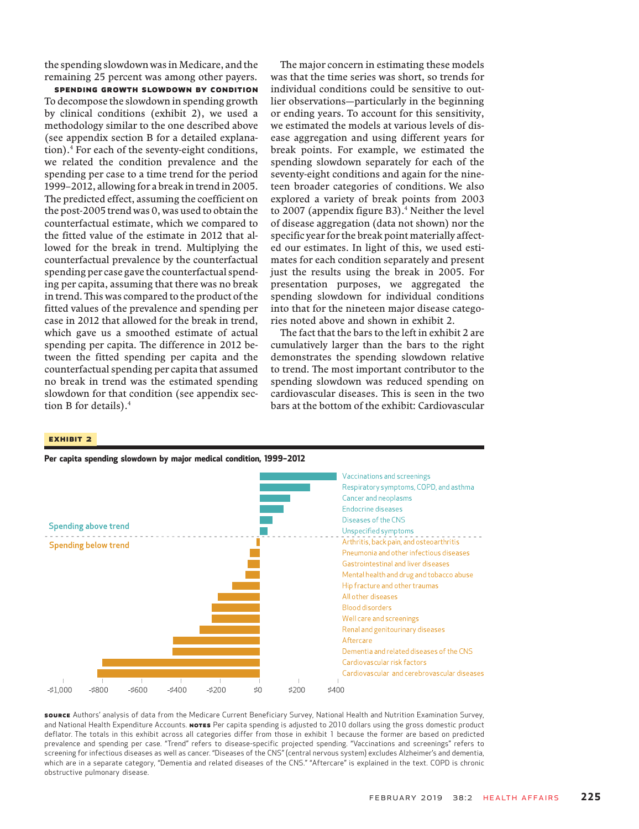the spending slowdown was in Medicare, and the remaining 25 percent was among other payers.

Spending Growth Slowdown By Condition To decompose the slowdown in spending growth by clinical conditions (exhibit 2), we used a methodology similar to the one described above (see appendix section B for a detailed explanation).4 For each of the seventy-eight conditions, we related the condition prevalence and the spending per case to a time trend for the period 1999–2012, allowing for a break in trend in 2005. The predicted effect, assuming the coefficient on the post-2005 trend was 0, was used to obtain the counterfactual estimate, which we compared to the fitted value of the estimate in 2012 that allowed for the break in trend. Multiplying the counterfactual prevalence by the counterfactual spending per case gave the counterfactual spending per capita, assuming that there was no break in trend. This was compared to the product of the fitted values of the prevalence and spending per case in 2012 that allowed for the break in trend, which gave us a smoothed estimate of actual spending per capita. The difference in 2012 between the fitted spending per capita and the counterfactual spending per capita that assumed no break in trend was the estimated spending slowdown for that condition (see appendix section B for details).4

The major concern in estimating these models was that the time series was short, so trends for individual conditions could be sensitive to outlier observations—particularly in the beginning or ending years. To account for this sensitivity, we estimated the models at various levels of disease aggregation and using different years for break points. For example, we estimated the spending slowdown separately for each of the seventy-eight conditions and again for the nineteen broader categories of conditions. We also explored a variety of break points from 2003 to 2007 (appendix figure B3).<sup>4</sup> Neither the level of disease aggregation (data not shown) nor the specific year for the break point materially affected our estimates. In light of this, we used estimates for each condition separately and present just the results using the break in 2005. For presentation purposes, we aggregated the spending slowdown for individual conditions into that for the nineteen major disease categories noted above and shown in exhibit 2.

The fact that the bars to the left in exhibit 2 are cumulatively larger than the bars to the right demonstrates the spending slowdown relative to trend. The most important contributor to the spending slowdown was reduced spending on cardiovascular diseases. This is seen in the two bars at the bottom of the exhibit: Cardiovascular

#### Exhibit 2





source Authors' analysis of data from the Medicare Current Beneficiary Survey, National Health and Nutrition Examination Survey, and National Health Expenditure Accounts. NOTES Per capita spending is adjusted to 2010 dollars using the gross domestic product deflator. The totals in this exhibit across all categories differ from those in exhibit 1 because the former are based on predicted prevalence and spending per case. "Trend" refers to disease-specific projected spending. "Vaccinations and screenings" refers to screening for infectious diseases as well as cancer. "Diseases of the CNS" (central nervous system) excludes Alzheimer's and dementia, which are in a separate category, "Dementia and related diseases of the CNS." "Aftercare" is explained in the text. COPD is chronic obstructive pulmonary disease.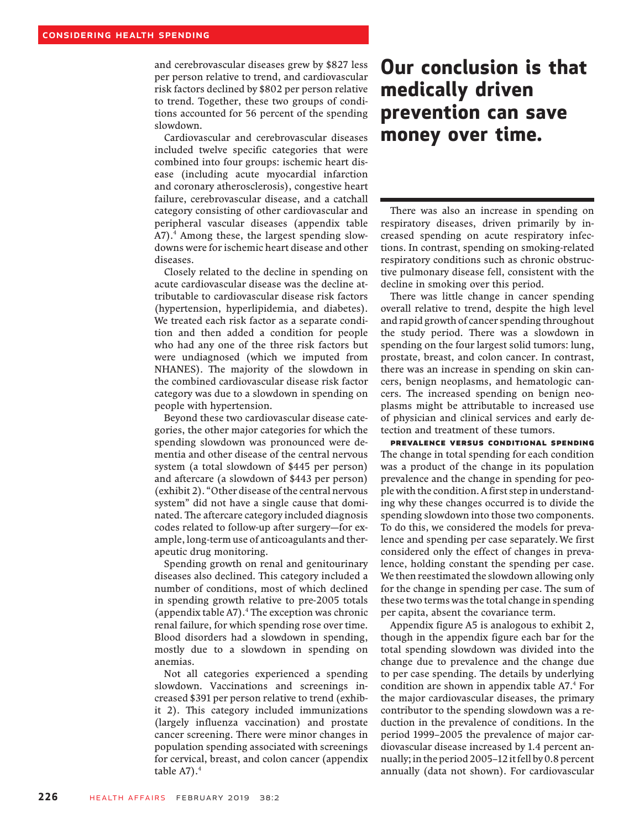and cerebrovascular diseases grew by \$827 less per person relative to trend, and cardiovascular risk factors declined by \$802 per person relative to trend. Together, these two groups of conditions accounted for 56 percent of the spending slowdown.

Cardiovascular and cerebrovascular diseases included twelve specific categories that were combined into four groups: ischemic heart disease (including acute myocardial infarction and coronary atherosclerosis), congestive heart failure, cerebrovascular disease, and a catchall category consisting of other cardiovascular and peripheral vascular diseases (appendix table A7).<sup>4</sup> Among these, the largest spending slowdowns were for ischemic heart disease and other diseases.

Closely related to the decline in spending on acute cardiovascular disease was the decline attributable to cardiovascular disease risk factors (hypertension, hyperlipidemia, and diabetes). We treated each risk factor as a separate condition and then added a condition for people who had any one of the three risk factors but were undiagnosed (which we imputed from NHANES). The majority of the slowdown in the combined cardiovascular disease risk factor category was due to a slowdown in spending on people with hypertension.

Beyond these two cardiovascular disease categories, the other major categories for which the spending slowdown was pronounced were dementia and other disease of the central nervous system (a total slowdown of \$445 per person) and aftercare (a slowdown of \$443 per person) (exhibit 2). "Other disease of the central nervous system" did not have a single cause that dominated. The aftercare category included diagnosis codes related to follow-up after surgery—for example, long-term use of anticoagulants and therapeutic drug monitoring.

Spending growth on renal and genitourinary diseases also declined. This category included a number of conditions, most of which declined in spending growth relative to pre-2005 totals (appendix table  $A7$ ).<sup>4</sup> The exception was chronic renal failure, for which spending rose over time. Blood disorders had a slowdown in spending, mostly due to a slowdown in spending on anemias.

Not all categories experienced a spending slowdown. Vaccinations and screenings increased \$391 per person relative to trend (exhibit 2). This category included immunizations (largely influenza vaccination) and prostate cancer screening. There were minor changes in population spending associated with screenings for cervical, breast, and colon cancer (appendix table  $A7$ ).<sup>4</sup>

# Our conclusion is that medically driven prevention can save money over time.

There was also an increase in spending on respiratory diseases, driven primarily by increased spending on acute respiratory infections. In contrast, spending on smoking-related respiratory conditions such as chronic obstructive pulmonary disease fell, consistent with the decline in smoking over this period.

There was little change in cancer spending overall relative to trend, despite the high level and rapid growth of cancer spending throughout the study period. There was a slowdown in spending on the four largest solid tumors: lung, prostate, breast, and colon cancer. In contrast, there was an increase in spending on skin cancers, benign neoplasms, and hematologic cancers. The increased spending on benign neoplasms might be attributable to increased use of physician and clinical services and early detection and treatment of these tumors.

Prevalence Versus Conditional Spending The change in total spending for each condition was a product of the change in its population prevalence and the change in spending for people with the condition. A first step in understanding why these changes occurred is to divide the spending slowdown into those two components. To do this, we considered the models for prevalence and spending per case separately.We first considered only the effect of changes in prevalence, holding constant the spending per case. We then reestimated the slowdown allowing only for the change in spending per case. The sum of these two terms was the total change in spending per capita, absent the covariance term.

Appendix figure A5 is analogous to exhibit 2, though in the appendix figure each bar for the total spending slowdown was divided into the change due to prevalence and the change due to per case spending. The details by underlying condition are shown in appendix table A7.<sup>4</sup> For the major cardiovascular diseases, the primary contributor to the spending slowdown was a reduction in the prevalence of conditions. In the period 1999–2005 the prevalence of major cardiovascular disease increased by 1.4 percent annually; in the period 2005–12 it fell by 0.8 percent annually (data not shown). For cardiovascular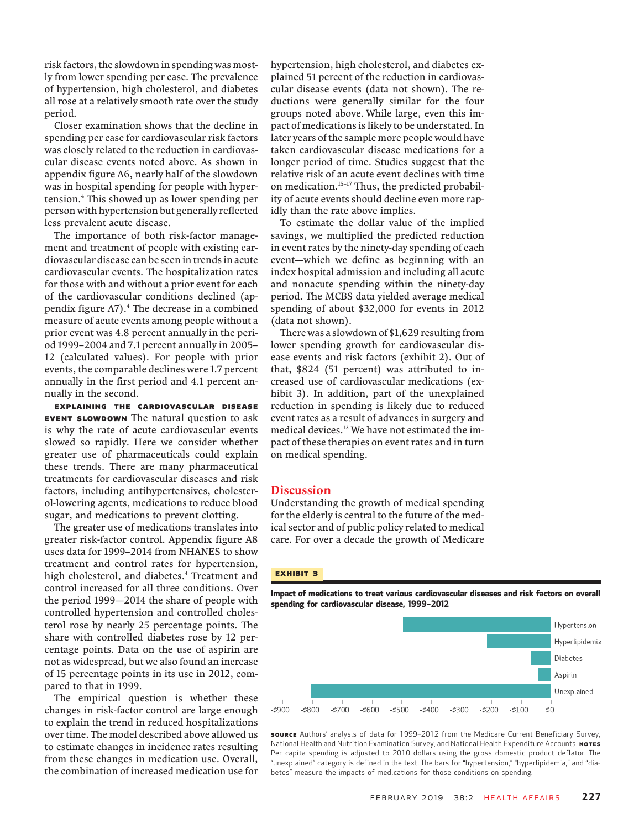risk factors, the slowdown in spending was mostly from lower spending per case. The prevalence of hypertension, high cholesterol, and diabetes all rose at a relatively smooth rate over the study period.

Closer examination shows that the decline in spending per case for cardiovascular risk factors was closely related to the reduction in cardiovascular disease events noted above. As shown in appendix figure A6, nearly half of the slowdown was in hospital spending for people with hypertension.4 This showed up as lower spending per person with hypertension but generally reflected less prevalent acute disease.

The importance of both risk-factor management and treatment of people with existing cardiovascular disease can be seen in trends in acute cardiovascular events. The hospitalization rates for those with and without a prior event for each of the cardiovascular conditions declined (appendix figure A7).4 The decrease in a combined measure of acute events among people without a prior event was 4.8 percent annually in the period 1999–2004 and 7.1 percent annually in 2005– 12 (calculated values). For people with prior events, the comparable declines were 1.7 percent annually in the first period and 4.1 percent annually in the second.

Explaining The Cardiovascular Disease **EVENT SLOWDOWN** The natural question to ask is why the rate of acute cardiovascular events slowed so rapidly. Here we consider whether greater use of pharmaceuticals could explain these trends. There are many pharmaceutical treatments for cardiovascular diseases and risk factors, including antihypertensives, cholesterol-lowering agents, medications to reduce blood sugar, and medications to prevent clotting.

The greater use of medications translates into greater risk-factor control. Appendix figure A8 uses data for 1999–2014 from NHANES to show treatment and control rates for hypertension, high cholesterol, and diabetes.<sup>4</sup> Treatment and control increased for all three conditions. Over the period 1999—2014 the share of people with controlled hypertension and controlled cholesterol rose by nearly 25 percentage points. The share with controlled diabetes rose by 12 percentage points. Data on the use of aspirin are not as widespread, but we also found an increase of 15 percentage points in its use in 2012, compared to that in 1999.

The empirical question is whether these changes in risk-factor control are large enough to explain the trend in reduced hospitalizations over time. The model described above allowed us to estimate changes in incidence rates resulting from these changes in medication use. Overall, the combination of increased medication use for

hypertension, high cholesterol, and diabetes explained 51 percent of the reduction in cardiovascular disease events (data not shown). The reductions were generally similar for the four groups noted above. While large, even this impact of medications is likely to be understated. In later years of the sample more people would have taken cardiovascular disease medications for a longer period of time. Studies suggest that the relative risk of an acute event declines with time on medication.15–<sup>17</sup> Thus, the predicted probability of acute events should decline even more rapidly than the rate above implies.

To estimate the dollar value of the implied savings, we multiplied the predicted reduction in event rates by the ninety-day spending of each event—which we define as beginning with an index hospital admission and including all acute and nonacute spending within the ninety-day period. The MCBS data yielded average medical spending of about \$32,000 for events in 2012 (data not shown).

There was a slowdown of \$1,629 resulting from lower spending growth for cardiovascular disease events and risk factors (exhibit 2). Out of that, \$824 (51 percent) was attributed to increased use of cardiovascular medications (exhibit 3). In addition, part of the unexplained reduction in spending is likely due to reduced event rates as a result of advances in surgery and medical devices.<sup>13</sup> We have not estimated the impact of these therapies on event rates and in turn on medical spending.

### **Discussion**

Understanding the growth of medical spending for the elderly is central to the future of the medical sector and of public policy related to medical care. For over a decade the growth of Medicare

#### Exhibit 3

Impact of medications to treat various cardiovascular diseases and risk factors on overall spending for cardiovascular disease, 1999–<sup>2012</sup>



source Authors' analysis of data for 1999-2012 from the Medicare Current Beneficiary Survey, National Health and Nutrition Examination Survey, and National Health Expenditure Accounts. NOTES Per capita spending is adjusted to 2010 dollars using the gross domestic product deflator. The "unexplained" category is defined in the text. The bars for "hypertension," "hyperlipidemia," and "diabetes" measure the impacts of medications for those conditions on spending.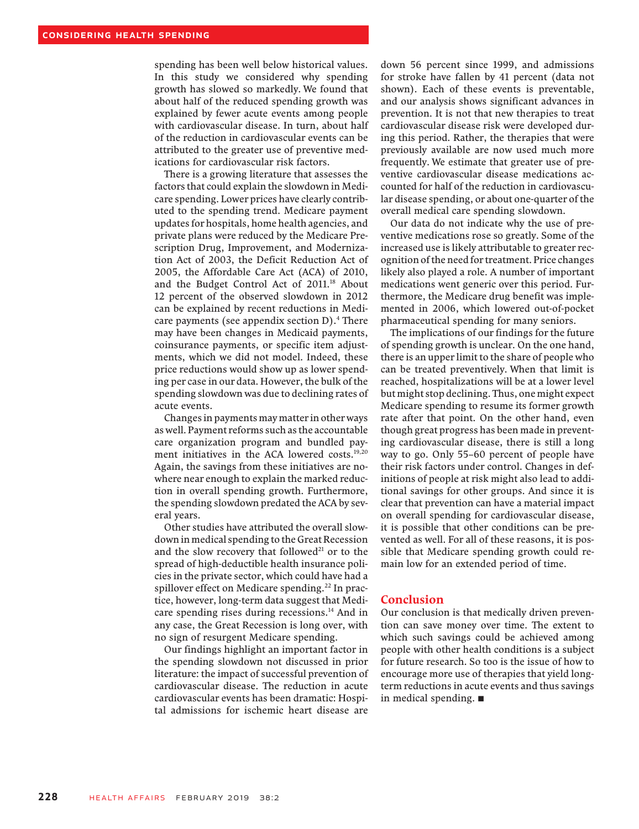spending has been well below historical values. In this study we considered why spending growth has slowed so markedly. We found that about half of the reduced spending growth was explained by fewer acute events among people with cardiovascular disease. In turn, about half of the reduction in cardiovascular events can be attributed to the greater use of preventive medications for cardiovascular risk factors.

There is a growing literature that assesses the factors that could explain the slowdown in Medicare spending. Lower prices have clearly contributed to the spending trend. Medicare payment updates for hospitals, home health agencies, and private plans were reduced by the Medicare Prescription Drug, Improvement, and Modernization Act of 2003, the Deficit Reduction Act of 2005, the Affordable Care Act (ACA) of 2010, and the Budget Control Act of 2011.<sup>18</sup> About 12 percent of the observed slowdown in 2012 can be explained by recent reductions in Medicare payments (see appendix section  $D$ ).<sup>4</sup> There may have been changes in Medicaid payments, coinsurance payments, or specific item adjustments, which we did not model. Indeed, these price reductions would show up as lower spending per case in our data. However, the bulk of the spending slowdown was due to declining rates of acute events.

Changes in payments may matter in other ways as well. Payment reforms such as the accountable care organization program and bundled payment initiatives in the ACA lowered costs.<sup>19,20</sup> Again, the savings from these initiatives are nowhere near enough to explain the marked reduction in overall spending growth. Furthermore, the spending slowdown predated the ACA by several years.

Other studies have attributed the overall slowdown in medical spending to the Great Recession and the slow recovery that followed<sup>21</sup> or to the spread of high-deductible health insurance policies in the private sector, which could have had a spillover effect on Medicare spending.<sup>22</sup> In practice, however, long-term data suggest that Medicare spending rises during recessions.<sup>14</sup> And in any case, the Great Recession is long over, with no sign of resurgent Medicare spending.

Our findings highlight an important factor in the spending slowdown not discussed in prior literature: the impact of successful prevention of cardiovascular disease. The reduction in acute cardiovascular events has been dramatic: Hospital admissions for ischemic heart disease are

down 56 percent since 1999, and admissions for stroke have fallen by 41 percent (data not shown). Each of these events is preventable, and our analysis shows significant advances in prevention. It is not that new therapies to treat cardiovascular disease risk were developed during this period. Rather, the therapies that were previously available are now used much more frequently. We estimate that greater use of preventive cardiovascular disease medications accounted for half of the reduction in cardiovascular disease spending, or about one-quarter of the overall medical care spending slowdown.

Our data do not indicate why the use of preventive medications rose so greatly. Some of the increased use is likely attributable to greater recognition of the need for treatment. Price changes likely also played a role. A number of important medications went generic over this period. Furthermore, the Medicare drug benefit was implemented in 2006, which lowered out-of-pocket pharmaceutical spending for many seniors.

The implications of our findings for the future of spending growth is unclear. On the one hand, there is an upper limit to the share of people who can be treated preventively. When that limit is reached, hospitalizations will be at a lower level but might stop declining. Thus, one might expect Medicare spending to resume its former growth rate after that point. On the other hand, even though great progress has been made in preventing cardiovascular disease, there is still a long way to go. Only 55–60 percent of people have their risk factors under control. Changes in definitions of people at risk might also lead to additional savings for other groups. And since it is clear that prevention can have a material impact on overall spending for cardiovascular disease, it is possible that other conditions can be prevented as well. For all of these reasons, it is possible that Medicare spending growth could remain low for an extended period of time.

# Conclusion

Our conclusion is that medically driven prevention can save money over time. The extent to which such savings could be achieved among people with other health conditions is a subject for future research. So too is the issue of how to encourage more use of therapies that yield longterm reductions in acute events and thus savings in medical spending.  $\blacksquare$